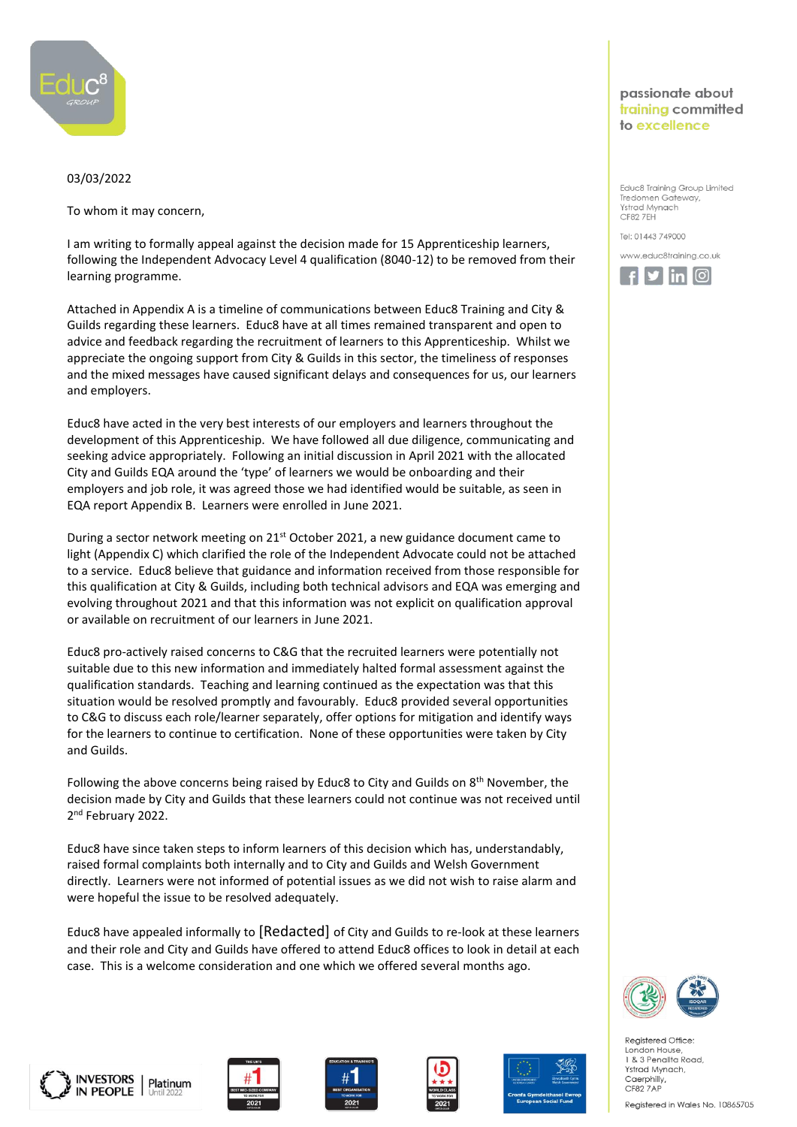

## 03/03/2022

To whom it may concern,

I am writing to formally appeal against the decision made for 15 Apprenticeship learners, following the Independent Advocacy Level 4 qualification (8040-12) to be removed from their learning programme.

Attached in Appendix A is a timeline of communications between Educ8 Training and City & Guilds regarding these learners. Educ8 have at all times remained transparent and open to advice and feedback regarding the recruitment of learners to this Apprenticeship. Whilst we appreciate the ongoing support from City & Guilds in this sector, the timeliness of responses and the mixed messages have caused significant delays and consequences for us, our learners and employers.

Educ8 have acted in the very best interests of our employers and learners throughout the development of this Apprenticeship. We have followed all due diligence, communicating and seeking advice appropriately. Following an initial discussion in April 2021 with the allocated City and Guilds EQA around the 'type' of learners we would be onboarding and their employers and job role, it was agreed those we had identified would be suitable, as seen in EQA report Appendix B. Learners were enrolled in June 2021.

During a sector network meeting on  $21<sup>st</sup>$  October 2021, a new guidance document came to light (Appendix C) which clarified the role of the Independent Advocate could not be attached to a service. Educ8 believe that guidance and information received from those responsible for this qualification at City & Guilds, including both technical advisors and EQA was emerging and evolving throughout 2021 and that this information was not explicit on qualification approval or available on recruitment of our learners in June 2021.

Educ8 pro-actively raised concerns to C&G that the recruited learners were potentially not suitable due to this new information and immediately halted formal assessment against the qualification standards. Teaching and learning continued as the expectation was that this situation would be resolved promptly and favourably. Educ8 provided several opportunities to C&G to discuss each role/learner separately, offer options for mitigation and identify ways for the learners to continue to certification. None of these opportunities were taken by City and Guilds.

Following the above concerns being raised by Educ8 to City and Guilds on 8th November, the decision made by City and Guilds that these learners could not continue was not received until 2<sup>nd</sup> February 2022.

Educ8 have since taken steps to inform learners of this decision which has, understandably, raised formal complaints both internally and to City and Guilds and Welsh Government directly. Learners were not informed of potential issues as we did not wish to raise alarm and were hopeful the issue to be resolved adequately.

Educ8 have appealed informally to [Redacted] of City and Guilds to re-look at these learners and their role and City and Guilds have offered to attend Educ8 offices to look in detail at each case. This is a welcome consideration and one which we offered several months ago.



passionate about training committed to excellence

Educ8 Training Group Limited Tredomen Gateway, Ystrad Mynach CF82 7EH Tel: 01443 749000 www.educ8training.co.uk  $\mathcal{F}$  in  $\mathcal{F}$ 



Registered Office London House 1 & 3 Penallta Road, Ystrad Mynach, Caerphilly, CF82 7AP

Registered in Wales No. 10865705